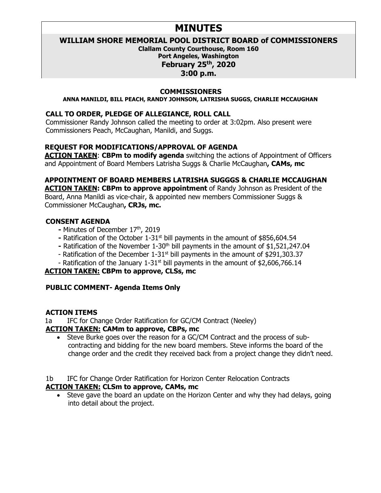# **MINUTES**

# **WILLIAM SHORE MEMORIAL POOL DISTRICT BOARD of COMMISSIONERS**

**Clallam County Courthouse, Room 160 Port Angeles, Washington February 25th, 2020 3:00 p.m.**

#### **COMMISSIONERS**

#### **ANNA MANILDI, BILL PEACH, RANDY JOHNSON, LATRISHA SUGGS, CHARLIE MCCAUGHAN**

#### **CALL TO ORDER, PLEDGE OF ALLEGIANCE, ROLL CALL**

Commissioner Randy Johnson called the meeting to order at 3:02pm. Also present were Commissioners Peach, McCaughan, Manildi, and Suggs.

### **REQUEST FOR MODIFICATIONS/APPROVAL OF AGENDA**

**ACTION TAKEN**: **CBPm to modify agenda** switching the actions of Appointment of Officers and Appointment of Board Members Latrisha Suggs & Charlie McCaughan**, CAMs, mc**

## **APPOINTMENT OF BOARD MEMBERS LATRISHA SUGGGS & CHARLIE MCCAUGHAN**

**ACTION TAKEN: CBPm to approve appointment** of Randy Johnson as President of the Board, Anna Manildi as vice-chair, & appointed new members Commissioner Suggs & Commissioner McCaughan**, CRJs, mc.** 

#### **CONSENT AGENDA**

- **-** Minutes of December 17th, 2019
- **-** Ratification of the October 1-31st bill payments in the amount of \$856,604.54
- Ratification of the November 1-30<sup>th</sup> bill payments in the amount of \$1,521,247.04
- Ratification of the December  $1-31$ <sup>st</sup> bill payments in the amount of \$291,303.37
- Ratification of the January 1-31<sup>st</sup> bill payments in the amount of \$2,606,766.14

### **ACTION TAKEN: CBPm to approve, CLSs, mc**

# **PUBLIC COMMENT- Agenda Items Only**

### **ACTION ITEMS**

1a IFC for Change Order Ratification for GC/CM Contract (Neeley)

### **ACTION TAKEN: CAMm to approve, CBPs, mc**

- Steve Burke goes over the reason for a GC/CM Contract and the process of subcontracting and bidding for the new board members. Steve informs the board of the change order and the credit they received back from a project change they didn't need.
- 1b IFC for Change Order Ratification for Horizon Center Relocation Contracts

### **ACTION TAKEN: CLSm to approve, CAMs, mc**

• Steve gave the board an update on the Horizon Center and why they had delays, going into detail about the project.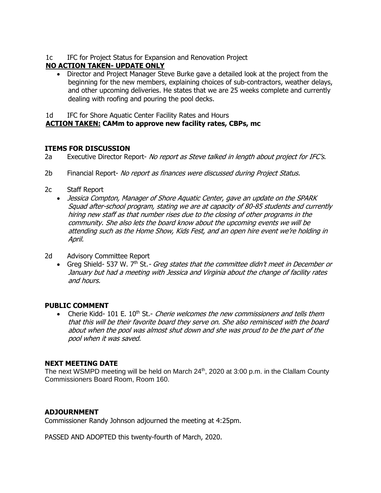1c IFC for Project Status for Expansion and Renovation Project

# **NO ACTION TAKEN- UPDATE ONLY**

• Director and Project Manager Steve Burke gave a detailed look at the project from the beginning for the new members, explaining choices of sub-contractors, weather delays, and other upcoming deliveries. He states that we are 25 weeks complete and currently dealing with roofing and pouring the pool decks.

1d IFC for Shore Aquatic Center Facility Rates and Hours

## **ACTION TAKEN: CAMm to approve new facility rates, CBPs, mc**

#### **ITEMS FOR DISCUSSION**

2a Executive Director Report- No report as Steve talked in length about project for IFC's.

- 2b Financial Report- No report as finances were discussed during Project Status.
- 2c Staff Report
	- Jessica Compton, Manager of Shore Aquatic Center, gave an update on the SPARK Squad after-school program, stating we are at capacity of 80-85 students and currently hiring new staff as that number rises due to the closing of other programs in the community. She also lets the board know about the upcoming events we will be attending such as the Home Show, Kids Fest, and an open hire event we're holding in April.
- 2d Advisory Committee Report
	- Greg Shield- 537 W. 7<sup>th</sup> St. Greg states that the committee didn't meet in December or January but had a meeting with Jessica and Virginia about the change of facility rates and hours.

### **PUBLIC COMMENT**

• Cherie Kidd- 101 E.  $10<sup>th</sup>$  St.- *Cherie welcomes the new commissioners and tells them* that this will be their favorite board they serve on. She also reminisced with the board about when the pool was almost shut down and she was proud to be the part of the pool when it was saved.

### **NEXT MEETING DATE**

The next WSMPD meeting will be held on March 24<sup>th</sup>, 2020 at 3:00 p.m. in the Clallam County Commissioners Board Room, Room 160.

#### **ADJOURNMENT**

Commissioner Randy Johnson adjourned the meeting at 4:25pm.

PASSED AND ADOPTED this twenty-fourth of March, 2020.